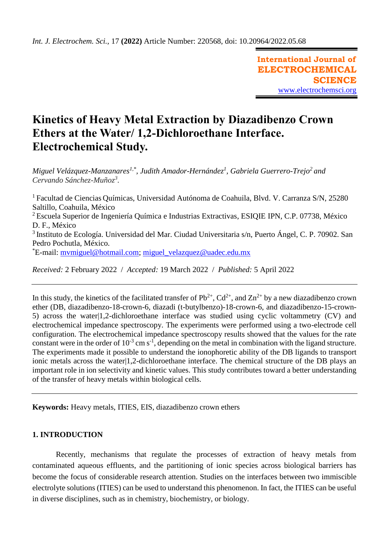**International Journal of ELECTROCHEMICAL SCIENCE** [www.electrochemsci.org](http://www.electrochemsci.org/)

# **Kinetics of Heavy Metal Extraction by Diazadibenzo Crown Ethers at the Water/ 1,2-Dichloroethane Interface. Electrochemical Study.**

*Miguel Velázquez-Manzanares1,\* , Judith Amador-Hernández<sup>1</sup> , Gabriela Guerrero-Trejo<sup>2</sup>and Cervando Sánchez-Muñoz<sup>3</sup> .*

<sup>1</sup> Facultad de Ciencias Químicas, Universidad Autónoma de Coahuila, Blvd. V. Carranza S/N, 25280 Saltillo, Coahuila, México <sup>2</sup> Escuela Superior de Ingeniería Química e Industrias Extractivas, ESIQIE IPN, C.P. 07738, México D. F., México 3 Instituto de Ecología. Universidad del Mar. Ciudad Universitaria s/n, Puerto Ángel, C. P. 70902. San Pedro Pochutla, México. \*E-mail: [mvmiguel@hotmail.com;](mailto:mvmiguel@hotmail.com) [miguel\\_velazquez@uadec.edu.mx](mailto:miguel_velazquez@uadec.edu.mx)

*Received:* 2 February 2022/ *Accepted:* 19 March 2022 / *Published:* 5 April 2022

In this study, the kinetics of the facilitated transfer of  $Pb^{2+}$ ,  $Cd^{2+}$ , and  $Zn^{2+}$  by a new diazadibenzo crown ether (DB, diazadibenzo-18-crown-6, diazadi (t-butylbenzo)-18-crown-6, and diazadibenzo-15-crown-5) across the water|1,2-dichloroethane interface was studied using cyclic voltammetry (CV) and electrochemical impedance spectroscopy. The experiments were performed using a two-electrode cell configuration. The electrochemical impedance spectroscopy results showed that the values for the rate constant were in the order of  $10^{-3}$  cm s<sup>-1</sup>, depending on the metal in combination with the ligand structure. The experiments made it possible to understand the ionophoretic ability of the DB ligands to transport ionic metals across the water|1,2-dichloroethane interface. The chemical structure of the DB plays an important role in ion selectivity and kinetic values. This study contributes toward a better understanding of the transfer of heavy metals within biological cells.

**Keywords:** Heavy metals, ITIES, EIS, diazadibenzo crown ethers

# **1. INTRODUCTION**

Recently, mechanisms that regulate the processes of extraction of heavy metals from contaminated aqueous effluents, and the partitioning of ionic species across biological barriers has become the focus of considerable research attention. Studies on the interfaces between two immiscible electrolyte solutions (ITIES) can be used to understand this phenomenon. In fact, the ITIES can be useful in diverse disciplines, such as in chemistry, biochemistry, or biology.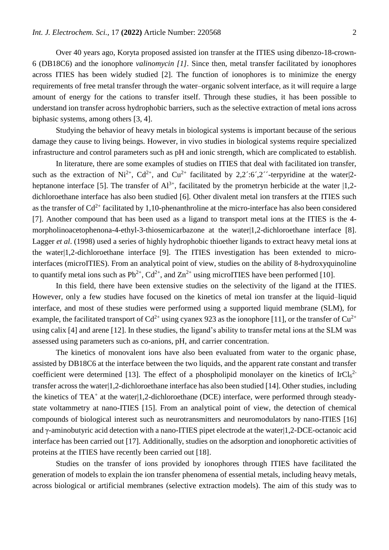Over 40 years ago, Koryta proposed assisted ion transfer at the ITIES using dibenzo-18-crown-6 (DB18C6) and the ionophore *valinomycin [1].* Since then, metal transfer facilitated by ionophores across ITIES has been widely studied [2]. The function of ionophores is to minimize the energy requirements of free metal transfer through the water–organic solvent interface, as it will require a large amount of energy for the cations to transfer itself. Through these studies, it has been possible to understand ion transfer across hydrophobic barriers, such as the selective extraction of metal ions across biphasic systems, among others [3, 4].

Studying the behavior of heavy metals in biological systems is important because of the serious damage they cause to living beings. However, in vivo studies in biological systems require specialized infrastructure and control parameters such as pH and ionic strength, which are complicated to establish.

In literature, there are some examples of studies on ITIES that deal with facilitated ion transfer, such as the extraction of  $Ni^{2+}$ ,  $Cd^{2+}$ , and  $Cu^{2+}$  facilitated by 2,2<sup> $\cdot$ </sup>:6<sup> $\cdot$ </sup>,2<sup> $\cdot$ </sup>-terpyridine at the water|2heptanone interface [5]. The transfer of  $Al^{3+}$ , facilitated by the prometryn herbicide at the water  $|1,2$ dichloroethane interface has also been studied [6]. Other divalent metal ion transfers at the ITIES such as the transfer of  $Cd^{2+}$  facilitated by 1,10-phenanthroline at the micro-interface has also been considered [7]. Another compound that has been used as a ligand to transport metal ions at the ITIES is the 4 morpholinoacetophenona-4-ethyl-3-thiosemicarbazone at the water|1,2-dichloroethane interface [8]. Lagger *et al*. (1998) used a series of highly hydrophobic thioether ligands to extract heavy metal ions at the water|1,2-dichloroethane interface [9]. The ITIES investigation has been extended to microinterfaces (microITIES). From an analytical point of view, studies on the ability of 8-hydroxyquinoline to quantify metal ions such as  $Pb^{2+}$ ,  $Cd^{2+}$ , and  $Zn^{2+}$  using microITIES have been performed [10].

In this field, there have been extensive studies on the selectivity of the ligand at the ITIES. However, only a few studies have focused on the kinetics of metal ion transfer at the liquid–liquid interface, and most of these studies were performed using a supported liquid membrane (SLM), for example, the facilitated transport of  $Cd^{2+}$  using cyanex 923 as the ionophore [11], or the transfer of  $Cu^{2+}$ using calix [4] and arene [12]. In these studies, the ligand's ability to transfer metal ions at the SLM was assessed using parameters such as co-anions, pH, and carrier concentration.

The kinetics of monovalent ions have also been evaluated from water to the organic phase, assisted by DB18C6 at the interface between the two liquids, and the apparent rate constant and transfer coefficient were determined [13]. The effect of a phospholipid monolayer on the kinetics of IrCl $6^{2}$ transfer across the water|1,2-dichloroethane interface has also been studied [14]. Other studies, including the kinetics of TEA<sup>+</sup> at the water|1,2-dichloroethane (DCE) interface, were performed through steadystate voltammetry at nano-ITIES [15]. From an analytical point of view, the detection of chemical compounds of biological interest such as neurotransmitters and neuromodulators by nano-ITIES [16] and γ-aminobutyric acid detection with a nano-ITIES pipet electrode at the water|1,2-DCE-octanoic acid interface has been carried out [17]. Additionally, studies on the adsorption and ionophoretic activities of proteins at the ITIES have recently been carried out [18].

Studies on the transfer of ions provided by ionophores through ITIES have facilitated the generation of models to explain the ion transfer phenomena of essential metals, including heavy metals, across biological or artificial membranes (selective extraction models). The aim of this study was to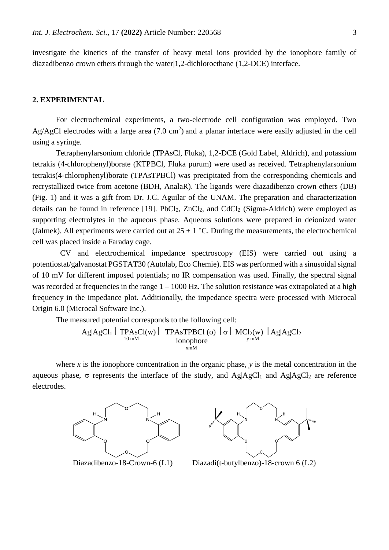investigate the kinetics of the transfer of heavy metal ions provided by the ionophore family of diazadibenzo crown ethers through the water|1,2-dichloroethane (1,2-DCE) interface.

## **2. EXPERIMENTAL**

For electrochemical experiments, a two-electrode cell configuration was employed. Two Ag/AgCl electrodes with a large area  $(7.0 \text{ cm}^2)$  and a planar interface were easily adjusted in the cell using a syringe.

Tetraphenylarsonium chloride (TPAsCl, Fluka), 1,2-DCE (Gold Label, Aldrich), and potassium tetrakis (4-chlorophenyl)borate (KTPBCl, Fluka purum) were used as received. Tetraphenylarsonium tetrakis(4-chlorophenyl)borate (TPAsTPBCl) was precipitated from the corresponding chemicals and recrystallized twice from acetone (BDH, AnalaR). The ligands were diazadibenzo crown ethers (DB) (Fig. 1) and it was a gift from Dr. J.C. Aguilar of the UNAM. The preparation and characterization details can be found in reference  $[19]$ . PbCl<sub>2</sub>, ZnCl<sub>2</sub>, and CdCl<sub>2</sub> (Sigma-Aldrich) were employed as supporting electrolytes in the aqueous phase. Aqueous solutions were prepared in deionized water (Jalmek). All experiments were carried out at  $25 \pm 1$  °C. During the measurements, the electrochemical cell was placed inside a Faraday cage.

CV and electrochemical impedance spectroscopy (EIS) were carried out using a potentiostat/galvanostat PGSTAT30 (Autolab, Eco Chemie). EIS was performed with a sinusoidal signal of 10 mV for different imposed potentials; no IR compensation was used. Finally, the spectral signal was recorded at frequencies in the range  $1 - 1000$  Hz. The solution resistance was extrapolated at a high frequency in the impedance plot. Additionally, the impedance spectra were processed with Microcal Origin 6.0 (Microcal Software Inc.).

The measured potential corresponds to the following cell:

$$
Ag|AgCl1| TPAsCl(w) | TPAsTPBCI(o) | \sigma | MCI2(w) | Ag|AgCl2
$$
  
ionophore  
<sub>xmM</sub>

where  $x$  is the ionophore concentration in the organic phase,  $y$  is the metal concentration in the aqueous phase,  $\sigma$  represents the interface of the study, and Ag|AgCl<sub>1</sub> and Ag|AgCl<sub>2</sub> are reference electrodes.





Diazadibenzo-18-Crown-6 (L1) Diazadi(t-butylbenzo)-18-crown 6 (L2)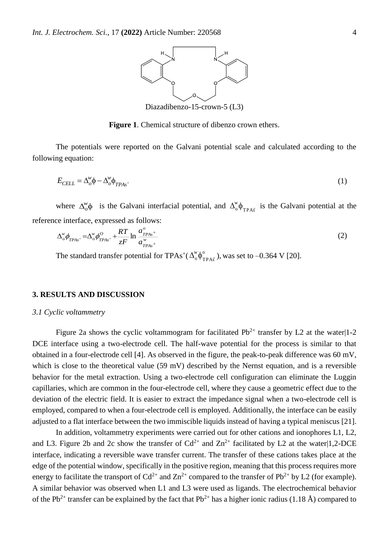

Diazadibenzo-15-crown-5 (L3)

**Figure 1**. Chemical structure of dibenzo crown ethers.

The potentials were reported on the Galvani potential scale and calculated according to the following equation:

$$
E_{CELL} = \Delta_o^{\nu} \phi - \Delta_o^{\nu} \phi_{TPAs^{+}}
$$
 (1)

where  $\Delta_{o}^{w}\phi$  $\alpha_o^{\psi}$  is the Galvani interfacial potential, and  $\Delta_o^{\psi} \phi_{\text{TPAs}}$  $\phi_{\text{TPA}^{\phi}}$  is the Galvani potential at the reference interface, expressed as follows:

$$
\Delta_{o}^{w} \phi_{TPAs^{+}} = \Delta_{o}^{w} \phi_{TPAs^{+}}^{O} + \frac{RT}{zF} \ln \frac{a_{TPAs^{+}}^{O}}{a_{TPAs^{+}}^{w}}
$$
\n(2)

The standard transfer potential for TPAs<sup>+</sup>( $\Delta_0^{\text{w}} \phi_T^{\text{o}}$  $\Delta_{\rm o}^{\rm w}\phi_{\rm TPA\dot{s}}^{\rm o}$  ), was set to –0.364 V [20].

#### **3. RESULTS AND DISCUSSION**

#### *3.1 Cyclic voltammetry*

Figure 2a shows the cyclic voltammogram for facilitated  $Pb^{2+}$  transfer by L2 at the water|1-2 DCE interface using a two-electrode cell. The half-wave potential for the process is similar to that obtained in a four-electrode cell [4]. As observed in the figure, the peak-to-peak difference was 60 mV, which is close to the theoretical value (59 mV) described by the Nernst equation, and is a reversible behavior for the metal extraction. Using a two-electrode cell configuration can eliminate the Luggin capillaries, which are common in the four-electrode cell, where they cause a geometric effect due to the deviation of the electric field. It is easier to extract the impedance signal when a two-electrode cell is employed, compared to when a four-electrode cell is employed. Additionally, the interface can be easily adjusted to a flat interface between the two immiscible liquids instead of having a typical meniscus [21].

In addition, voltammetry experiments were carried out for other cations and ionophores L1, L2, and L3. Figure 2b and 2c show the transfer of  $Cd^{2+}$  and  $Zn^{2+}$  facilitated by L2 at the water|1,2-DCE interface, indicating a reversible wave transfer current. The transfer of these cations takes place at the edge of the potential window, specifically in the positive region, meaning that this process requires more energy to facilitate the transport of  $Cd^{2+}$  and  $Zn^{2+}$  compared to the transfer of Pb<sup>2+</sup> by L2 (for example). A similar behavior was observed when L1 and L3 were used as ligands. The electrochemical behavior of the Pb<sup>2+</sup> transfer can be explained by the fact that Pb<sup>2+</sup> has a higher ionic radius (1.18 Å) compared to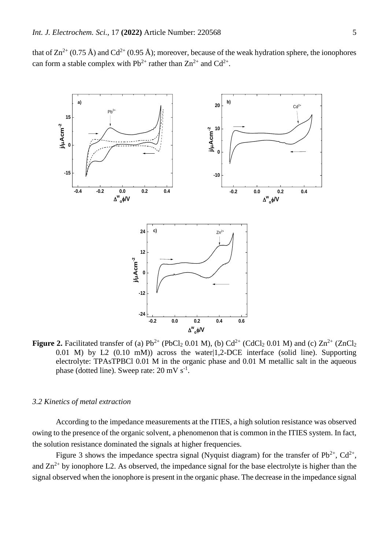that of  $\text{Zn}^{2+}$  (0.75 Å) and Cd<sup>2+</sup> (0.95 Å); moreover, because of the weak hydration sphere, the ionophores can form a stable complex with  $Pb^{2+}$  rather than  $Zn^{2+}$  and  $Cd^{2+}$ .



**Figure 2.** Facilitated transfer of (a)  $Pb^{2+}$  (PbCl<sub>2</sub> 0.01 M), (b)  $Cd^{2+}$  (CdCl<sub>2</sub> 0.01 M) and (c)  $Zn^{2+}$  (ZnCl<sub>2</sub> 0.01 M) by L2 (0.10 mM)) across the water|1,2-DCE interface (solid line). Supporting electrolyte: TPAsTPBCl 0.01 M in the organic phase and 0.01 M metallic salt in the aqueous phase (dotted line). Sweep rate:  $20 \text{ mV s}^{-1}$ .

## *3.2 Kinetics of metal extraction*

According to the impedance measurements at the ITIES, a high solution resistance was observed owing to the presence of the organic solvent, a phenomenon that is common in the ITIES system. In fact, the solution resistance dominated the signals at higher frequencies.

Figure 3 shows the impedance spectra signal (Nyquist diagram) for the transfer of  $Pb^{2+}$ ,  $Cd^{2+}$ , and  $\text{Zn}^{2+}$  by ionophore L2. As observed, the impedance signal for the base electrolyte is higher than the signal observed when the ionophore is present in the organic phase. The decrease in the impedance signal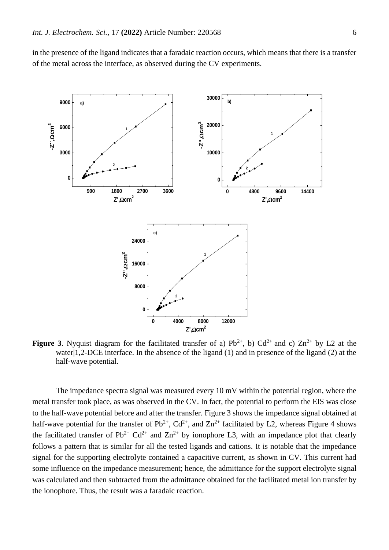in the presence of the ligand indicates that a faradaic reaction occurs, which means that there is a transfer of the metal across the interface, as observed during the CV experiments.



**Figure 3**. Nyquist diagram for the facilitated transfer of a)  $Pb^{2+}$ , b)  $Cd^{2+}$  and c)  $Zn^{2+}$  by L2 at the water|1,2-DCE interface. In the absence of the ligand (1) and in presence of the ligand (2) at the half-wave potential.

The impedance spectra signal was measured every 10 mV within the potential region, where the metal transfer took place, as was observed in the CV. In fact, the potential to perform the EIS was close to the half-wave potential before and after the transfer. Figure 3 shows the impedance signal obtained at half-wave potential for the transfer of  $Pb^{2+}$ ,  $Cd^{2+}$ , and  $Zn^{2+}$  facilitated by L2, whereas Figure 4 shows the facilitated transfer of  $Pb^{2+} Cd^{2+}$  and  $Zn^{2+}$  by ionophore L3, with an impedance plot that clearly follows a pattern that is similar for all the tested ligands and cations. It is notable that the impedance signal for the supporting electrolyte contained a capacitive current, as shown in CV. This current had some influence on the impedance measurement; hence, the admittance for the support electrolyte signal was calculated and then subtracted from the admittance obtained for the facilitated metal ion transfer by the ionophore. Thus, the result was a faradaic reaction.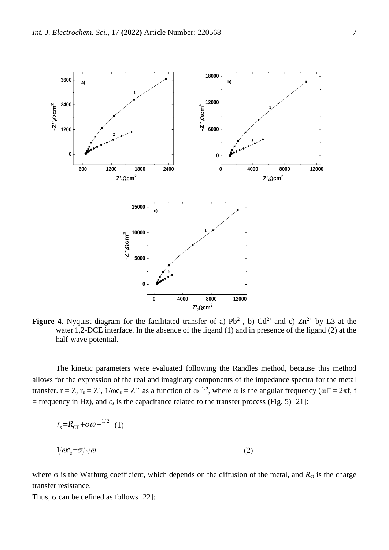

**Figure 4**. Nyquist diagram for the facilitated transfer of a)  $Pb^{2+}$ , b)  $Cd^{2+}$  and c)  $Zn^{2+}$  by L3 at the water|1,2-DCE interface. In the absence of the ligand (1) and in presence of the ligand (2) at the half-wave potential.

The kinetic parameters were evaluated following the Randles method, because this method allows for the expression of the real and imaginary components of the impedance spectra for the metal transfer.  $r = Z$ ,  $r_s = Z'$ ,  $1/\omega c_s = Z''$  as a function of  $\omega^{-1/2}$ , where  $\omega$  is the angular frequency ( $\omega \Box = 2\pi f$ , f  $=$  frequency in Hz), and  $c_s$  is the capacitance related to the transfer process (Fig. 5) [21]:

$$
r_s = R_{CT} + \sigma \omega^{-1/2} \quad (1)
$$
  

$$
1/\omega c_s = \sigma / \sqrt{\omega} \tag{2}
$$

where  $\sigma$  is the Warburg coefficient, which depends on the diffusion of the metal, and  $R_{ct}$  is the charge transfer resistance.

Thus,  $\sigma$  can be defined as follows [22]: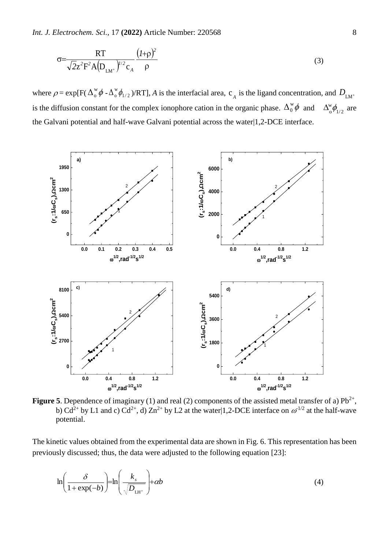*Int. J. Electrochem. Sci.,* 17 **(2022)** Article Number: 220568 8 8

$$
\sigma = \frac{RT}{\sqrt{2}z^2F^2A(D_{LM^+})^{1/2}c_A} \frac{(1+\rho)^2}{\rho}
$$
\n(3)

where  $\rho = \exp[F(\Delta_0^w \phi - \Delta_0^w \phi_{1/2})/RT]$ , *A* is the interfacial area,  $c_A$  is the ligand concentration, and  $D_{LM^+}$ is the diffusion constant for the complex ionophore cation in the organic phase.  $\Delta_0^{\omega}\phi$  and  $\Delta_0^{\omega}\phi_{1/2}$ w  $\Delta_{\circ}^{\rm w}\phi_{1/2}$  are the Galvani potential and half-wave Galvani potential across the water|1,2-DCE interface.



**Figure 5**. Dependence of imaginary (1) and real (2) components of the assisted metal transfer of a)  $Pb^{2+}$ , b) Cd<sup>2+</sup> by L1 and c) Cd<sup>2+</sup>, d) Zn<sup>2+</sup> by L2 at the water|1,2-DCE interface on  $\omega^{1/2}$  at the half-wave potential.

The kinetic values obtained from the experimental data are shown in Fig. 6. This representation has been previously discussed; thus, the data were adjusted to the following equation [23]:

$$
\ln\left(\frac{\delta}{1+\exp(-b)}\right) = \ln\left(\frac{k_s}{\sqrt{D_{\text{LH}^+}}}\right) + \alpha b \tag{4}
$$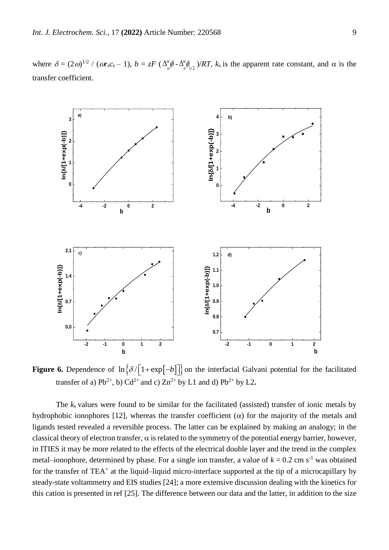where  $\delta = (2\omega)^{1/2} / (\omega r_s c_s - 1), b = zF (\Delta_s^{\omega} \phi)$  $\Delta^w_{_O}\pmb{\phi}$  -  $\Delta^w_{_O}\pmb{\phi}_{1/2}$  $\Delta_{\rho}^{\text{w}}\phi_{1/2}^{\text{w}}$  )/*RT*,  $k_s$  is the apparent rate constant, and  $\alpha$  is the transfer coefficient.



**Figure 6.** Dependence of  $\ln \left\{ \delta / \left[ 1 + \exp[-b] \right] \right\}$  on the interfacial Galvani potential for the facilitated transfer of a)  $Pb^{2+}$ , b)  $Cd^{2+}$  and c)  $Zn^{2+}$  by L1 and d)  $Pb^{2+}$  by L2.

The  $k_s$  values were found to be similar for the facilitated (assisted) transfer of ionic metals by hydrophobic ionophores [12], whereas the transfer coefficient  $(\alpha)$  for the majority of the metals and ligands tested revealed a reversible process. The latter can be explained by making an analogy; in the classical theory of electron transfer,  $\alpha$  is related to the symmetry of the potential energy barrier, however, in ITIES it may be more related to the effects of the electrical double layer and the trend in the complex metal–ionophore, determined by phase. For a single ion transfer, a value of  $k = 0.2$  cm s<sup>-1</sup> was obtained for the transfer of TEA<sup>+</sup> at the liquid–liquid micro-interface supported at the tip of a microcapillary by steady-state voltammetry and EIS studies [24]; a more extensive discussion dealing with the kinetics for this cation is presented in ref [25]. The difference between our data and the latter, in addition to the size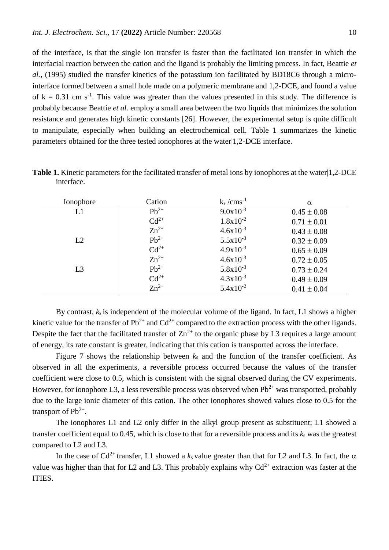of the interface, is that the single ion transfer is faster than the facilitated ion transfer in which the interfacial reaction between the cation and the ligand is probably the limiting process. In fact, Beattie *et al.,* (1995) studied the transfer kinetics of the potassium ion facilitated by BD18C6 through a microinterface formed between a small hole made on a polymeric membrane and 1,2-DCE, and found a value of  $k = 0.31$  cm s<sup>-1</sup>. This value was greater than the values presented in this study. The difference is probably because Beattie *et al*. employ a small area between the two liquids that minimizes the solution resistance and generates high kinetic constants [26]. However, the experimental setup is quite difficult to manipulate, especially when building an electrochemical cell. Table 1 summarizes the kinetic parameters obtained for the three tested ionophores at the water|1,2-DCE interface.

| Ionophore      | Cation    | $k_s/cms^{-1}$ | $\alpha$        |
|----------------|-----------|----------------|-----------------|
| L1             | $Pb^{2+}$ | $9.0x10^{-3}$  | $0.45 \pm 0.08$ |
|                | $Cd^{2+}$ | $1.8x10^{-2}$  | $0.71 \pm 0.01$ |
|                | $Zn^{2+}$ | $4.6x10^{-3}$  | $0.43 \pm 0.08$ |
| L2             | $Pb^{2+}$ | $5.5x10^{-3}$  | $0.32 \pm 0.09$ |
|                | $Cd^{2+}$ | $4.9x10^{-3}$  | $0.65 \pm 0.09$ |
|                | $Zn^{2+}$ | $4.6x10^{-3}$  | $0.72 \pm 0.05$ |
| L <sub>3</sub> | $Pb^{2+}$ | $5.8x10^{-3}$  | $0.73 \pm 0.24$ |
|                | $Cd^{2+}$ | $4.3x10^{-3}$  | $0.49 \pm 0.09$ |
|                | $Zn^{2+}$ | $5.4x10^{-2}$  | $0.41 \pm 0.04$ |

**Table 1.** Kinetic parameters for the facilitated transfer of metal ions by ionophores at the water|1,2-DCE interface.

By contrast, *k*s is independent of the molecular volume of the ligand. In fact, L1 shows a higher kinetic value for the transfer of  $Pb^{2+}$  and  $Cd^{2+}$  compared to the extraction process with the other ligands. Despite the fact that the facilitated transfer of  $\text{Zn}^{2+}$  to the organic phase by L3 requires a large amount of energy, its rate constant is greater, indicating that this cation is transported across the interface.

Figure 7 shows the relationship between *k*<sup>s</sup> and the function of the transfer coefficient. As observed in all the experiments, a reversible process occurred because the values of the transfer coefficient were close to 0.5, which is consistent with the signal observed during the CV experiments. However, for ionophore L3, a less reversible process was observed when  $Pb^{2+}$  was transported, probably due to the large ionic diameter of this cation. The other ionophores showed values close to 0.5 for the transport of  $Pb^{2+}$ .

The ionophores L1 and L2 only differ in the alkyl group present as substituent; L1 showed a transfer coefficient equal to  $0.45$ , which is close to that for a reversible process and its  $k<sub>s</sub>$  was the greatest compared to L2 and L3.

In the case of  $Cd^{2+}$  transfer, L1 showed a  $k_s$  value greater than that for L2 and L3. In fact, the  $\alpha$ value was higher than that for L2 and L3. This probably explains why  $Cd^{2+}$  extraction was faster at the ITIES.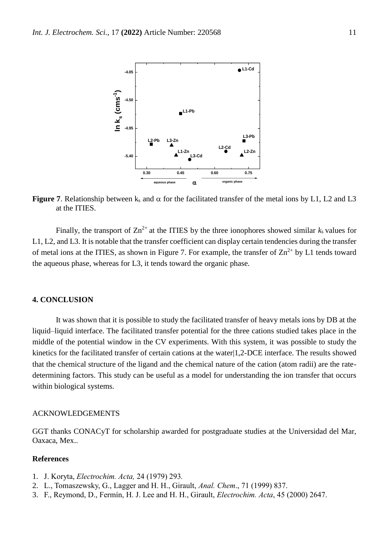

**Figure 7.** Relationship between  $k_s$  and  $\alpha$  for the facilitated transfer of the metal ions by L1, L2 and L3 at the ITIES.

Finally, the transport of  $\text{Zn}^{2+}$  at the ITIES by the three ionophores showed similar  $k_s$  values for L1, L2, and L3. It is notable that the transfer coefficient can display certain tendencies during the transfer of metal ions at the ITIES, as shown in Figure 7. For example, the transfer of  $\text{Zn}^{2+}$  by L1 tends toward the aqueous phase, whereas for L3, it tends toward the organic phase.

# **4. CONCLUSION**

It was shown that it is possible to study the facilitated transfer of heavy metals ions by DB at the liquid–liquid interface. The facilitated transfer potential for the three cations studied takes place in the middle of the potential window in the CV experiments. With this system, it was possible to study the kinetics for the facilitated transfer of certain cations at the water|1,2-DCE interface. The results showed that the chemical structure of the ligand and the chemical nature of the cation (atom radii) are the ratedetermining factors. This study can be useful as a model for understanding the ion transfer that occurs within biological systems.

# ACKNOWLEDGEMENTS

GGT thanks CONACyT for scholarship awarded for postgraduate studies at the Universidad del Mar, Oaxaca, Mex..

# **References**

- 1. J. Koryta, *Electrochim. Acta,* 24 (1979) 293*.*
- 2. L., Tomaszewsky, G., Lagger and H. H., Girault, *Anal. Chem*., 71 (1999) 837.
- 3. F., Reymond, D., Fermín, H. J. Lee and H. H., Girault, *Electrochim. Acta*, 45 (2000) 2647.